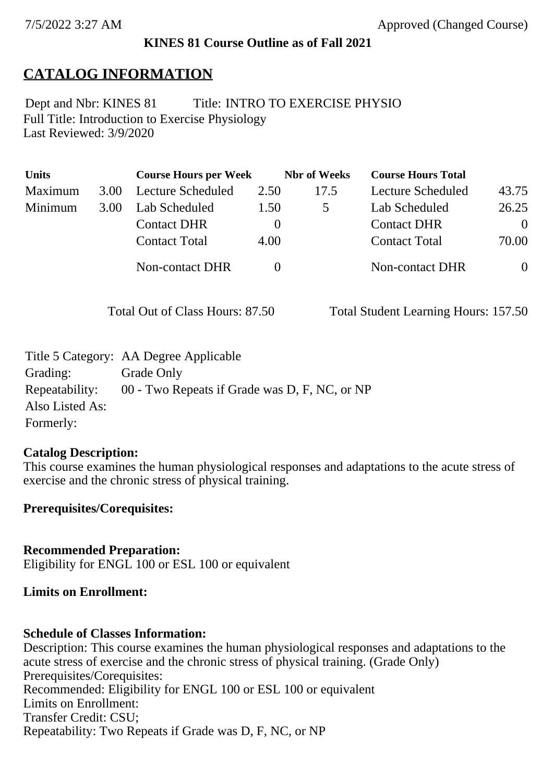# **KINES 81 Course Outline as of Fall 2021**

# **CATALOG INFORMATION**

Full Title: Introduction to Exercise Physiology Last Reviewed: 3/9/2020 Dept and Nbr: KINES 81 Title: INTRO TO EXERCISE PHYSIO

| <b>Units</b> |      | <b>Course Hours per Week</b> |          | <b>Nbr</b> of Weeks | <b>Course Hours Total</b> |                |
|--------------|------|------------------------------|----------|---------------------|---------------------------|----------------|
| Maximum      | 3.00 | Lecture Scheduled            | 2.50     | 17.5                | Lecture Scheduled         | 43.75          |
| Minimum      | 3.00 | Lab Scheduled                | 1.50     | $\mathcal{L}$       | Lab Scheduled             | 26.25          |
|              |      | <b>Contact DHR</b>           | $\theta$ |                     | <b>Contact DHR</b>        | $\Omega$       |
|              |      | <b>Contact Total</b>         | 4.00     |                     | <b>Contact Total</b>      | 70.00          |
|              |      | Non-contact DHR              |          |                     | <b>Non-contact DHR</b>    | $\overline{0}$ |

Total Out of Class Hours: 87.50 Total Student Learning Hours: 157.50

|                 | Title 5 Category: AA Degree Applicable        |
|-----------------|-----------------------------------------------|
| Grading:        | Grade Only                                    |
| Repeatability:  | 00 - Two Repeats if Grade was D, F, NC, or NP |
| Also Listed As: |                                               |
| Formerly:       |                                               |

# **Catalog Description:**

This course examines the human physiological responses and adaptations to the acute stress of exercise and the chronic stress of physical training.

# **Prerequisites/Corequisites:**

**Recommended Preparation:** Eligibility for ENGL 100 or ESL 100 or equivalent

# **Limits on Enrollment:**

# **Schedule of Classes Information:**

Description: This course examines the human physiological responses and adaptations to the acute stress of exercise and the chronic stress of physical training. (Grade Only) Prerequisites/Corequisites: Recommended: Eligibility for ENGL 100 or ESL 100 or equivalent Limits on Enrollment: Transfer Credit: CSU; Repeatability: Two Repeats if Grade was D, F, NC, or NP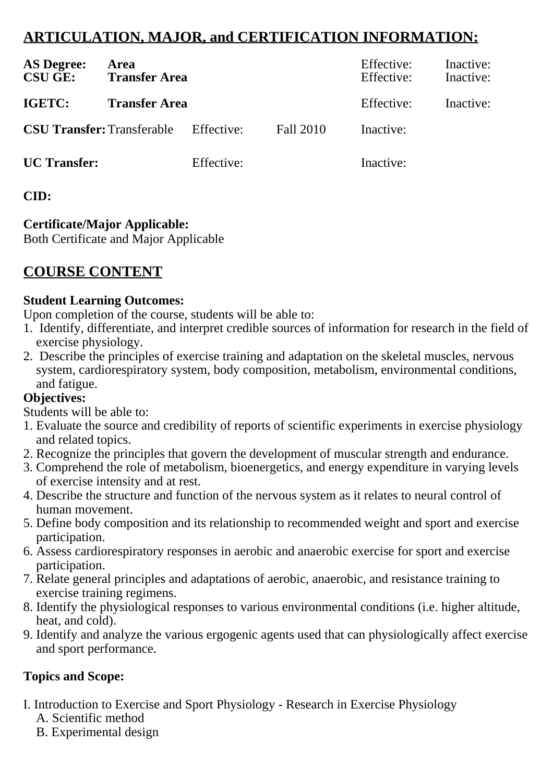# **ARTICULATION, MAJOR, and CERTIFICATION INFORMATION:**

| <b>AS Degree:</b><br>Area<br><b>CSU GE:</b><br><b>Transfer Area</b> |                      |            | Effective:<br>Effective: | Inactive:<br>Inactive: |           |
|---------------------------------------------------------------------|----------------------|------------|--------------------------|------------------------|-----------|
| IGETC:                                                              | <b>Transfer Area</b> |            |                          | Effective:             | Inactive: |
| <b>CSU Transfer: Transferable</b>                                   |                      | Effective: | Fall 2010                | Inactive:              |           |
| <b>UC</b> Transfer:                                                 |                      | Effective: |                          | Inactive:              |           |

# **CID:**

### **Certificate/Major Applicable:**

[Both Certificate and Major Applicable](SR_ClassCheck.aspx?CourseKey=KINES81)

# **COURSE CONTENT**

#### **Student Learning Outcomes:**

Upon completion of the course, students will be able to:

- 1. Identify, differentiate, and interpret credible sources of information for research in the field of exercise physiology.
- 2. Describe the principles of exercise training and adaptation on the skeletal muscles, nervous system, cardiorespiratory system, body composition, metabolism, environmental conditions, and fatigue.

### **Objectives:**

Students will be able to:

- 1. Evaluate the source and credibility of reports of scientific experiments in exercise physiology and related topics.
- 2. Recognize the principles that govern the development of muscular strength and endurance.
- 3. Comprehend the role of metabolism, bioenergetics, and energy expenditure in varying levels of exercise intensity and at rest.
- 4. Describe the structure and function of the nervous system as it relates to neural control of human movement.
- 5. Define body composition and its relationship to recommended weight and sport and exercise participation.
- 6. Assess cardiorespiratory responses in aerobic and anaerobic exercise for sport and exercise participation.
- 7. Relate general principles and adaptations of aerobic, anaerobic, and resistance training to exercise training regimens.
- 8. Identify the physiological responses to various environmental conditions (i.e. higher altitude, heat, and cold).
- 9. Identify and analyze the various ergogenic agents used that can physiologically affect exercise and sport performance.

# **Topics and Scope:**

- I. Introduction to Exercise and Sport Physiology Research in Exercise Physiology
	- A. Scientific method
	- B. Experimental design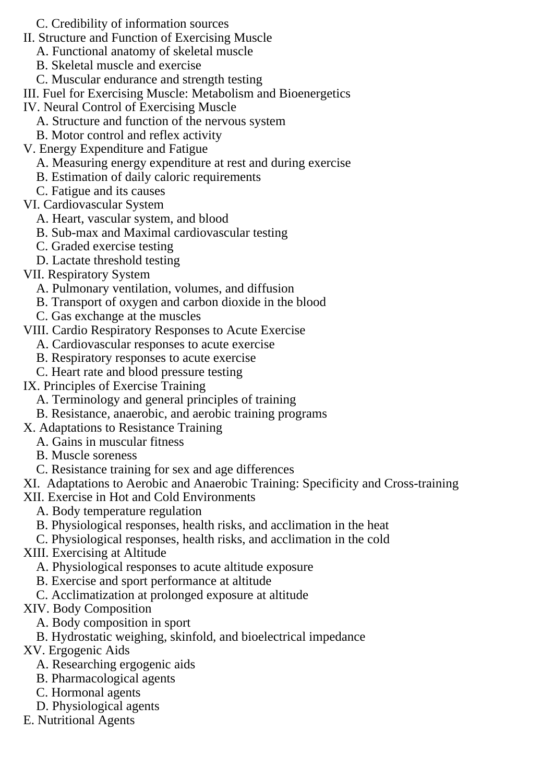- C. Credibility of information sources
- II. Structure and Function of Exercising Muscle
	- A. Functional anatomy of skeletal muscle
	- B. Skeletal muscle and exercise
	- C. Muscular endurance and strength testing
- III. Fuel for Exercising Muscle: Metabolism and Bioenergetics
- IV. Neural Control of Exercising Muscle
	- A. Structure and function of the nervous system
	- B. Motor control and reflex activity
- V. Energy Expenditure and Fatigue
	- A. Measuring energy expenditure at rest and during exercise
	- B. Estimation of daily caloric requirements
	- C. Fatigue and its causes
- VI. Cardiovascular System
	- A. Heart, vascular system, and blood
	- B. Sub-max and Maximal cardiovascular testing
	- C. Graded exercise testing
	- D. Lactate threshold testing
- VII. Respiratory System
	- A. Pulmonary ventilation, volumes, and diffusion
	- B. Transport of oxygen and carbon dioxide in the blood
	- C. Gas exchange at the muscles
- VIII. Cardio Respiratory Responses to Acute Exercise
	- A. Cardiovascular responses to acute exercise
	- B. Respiratory responses to acute exercise
	- C. Heart rate and blood pressure testing
- IX. Principles of Exercise Training
	- A. Terminology and general principles of training
	- B. Resistance, anaerobic, and aerobic training programs
- X. Adaptations to Resistance Training
	- A. Gains in muscular fitness
	- B. Muscle soreness
	- C. Resistance training for sex and age differences
- XI. Adaptations to Aerobic and Anaerobic Training: Specificity and Cross-training
- XII. Exercise in Hot and Cold Environments
	- A. Body temperature regulation
	- B. Physiological responses, health risks, and acclimation in the heat
	- C. Physiological responses, health risks, and acclimation in the cold
- XIII. Exercising at Altitude
	- A. Physiological responses to acute altitude exposure
	- B. Exercise and sport performance at altitude
	- C. Acclimatization at prolonged exposure at altitude
- XIV. Body Composition
	- A. Body composition in sport
	- B. Hydrostatic weighing, skinfold, and bioelectrical impedance
- XV. Ergogenic Aids
	- A. Researching ergogenic aids
	- B. Pharmacological agents
	- C. Hormonal agents
	- D. Physiological agents
- E. Nutritional Agents